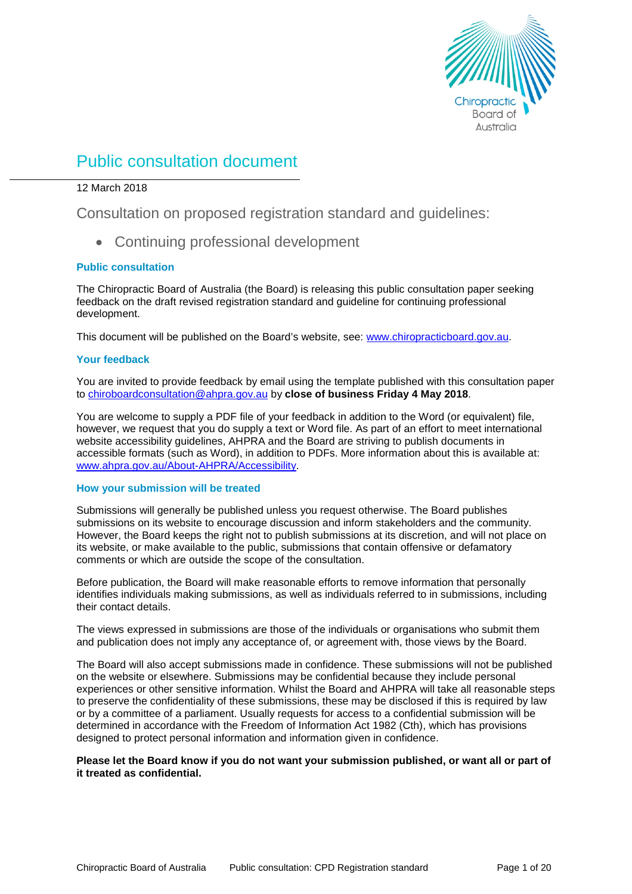

# Public consultation document

# 12 March 2018

Consultation on proposed registration standard and guidelines:

• Continuing professional development

# **Public consultation**

The Chiropractic Board of Australia (the Board) is releasing this public consultation paper seeking feedback on the draft revised registration standard and guideline for continuing professional development.

This document will be published on the Board's website, see: [www.chiropracticboard.gov.au.](http://www.chiropracticboard.gov.au/)

# **Your feedback**

You are invited to provide feedback by email using the template published with this consultation paper to [chiroboardconsultation@ahpra.gov.au](mailto:chiroboardconsultation@ahpra.gov.au) by **close of business Friday 4 May 2018**.

You are welcome to supply a PDF file of your feedback in addition to the Word (or equivalent) file, however, we request that you do supply a text or Word file. As part of an effort to meet international website accessibility guidelines, AHPRA and the Board are striving to publish documents in accessible formats (such as Word), in addition to PDFs. More information about this is available at: [www.ahpra.gov.au/About-AHPRA/Accessibility.](http://www.ahpra.gov.au/About-AHPRA/Accessibility.aspx)

### **How your submission will be treated**

Submissions will generally be published unless you request otherwise. The Board publishes submissions on its website to encourage discussion and inform stakeholders and the community. However, the Board keeps the right not to publish submissions at its discretion, and will not place on its website, or make available to the public, submissions that contain offensive or defamatory comments or which are outside the scope of the consultation.

Before publication, the Board will make reasonable efforts to remove information that personally identifies individuals making submissions, as well as individuals referred to in submissions, including their contact details.

The views expressed in submissions are those of the individuals or organisations who submit them and publication does not imply any acceptance of, or agreement with, those views by the Board.

The Board will also accept submissions made in confidence. These submissions will not be published on the website or elsewhere. Submissions may be confidential because they include personal experiences or other sensitive information. Whilst the Board and AHPRA will take all reasonable steps to preserve the confidentiality of these submissions, these may be disclosed if this is required by law or by a committee of a parliament. Usually requests for access to a confidential submission will be determined in accordance with the Freedom of Information Act 1982 (Cth), which has provisions designed to protect personal information and information given in confidence.

# **Please let the Board know if you do not want your submission published, or want all or part of it treated as confidential.**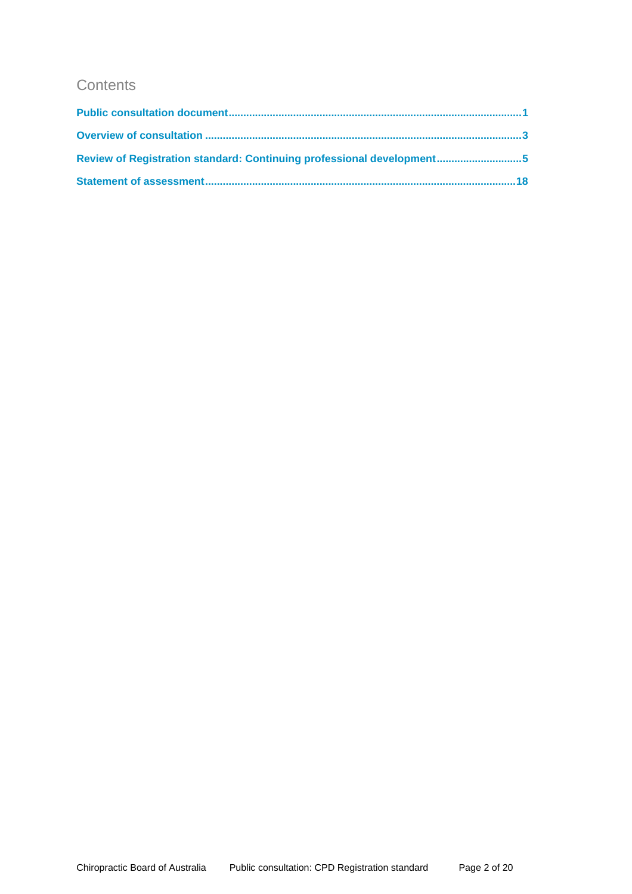# **Contents**

| Review of Registration standard: Continuing professional development5 |  |
|-----------------------------------------------------------------------|--|
|                                                                       |  |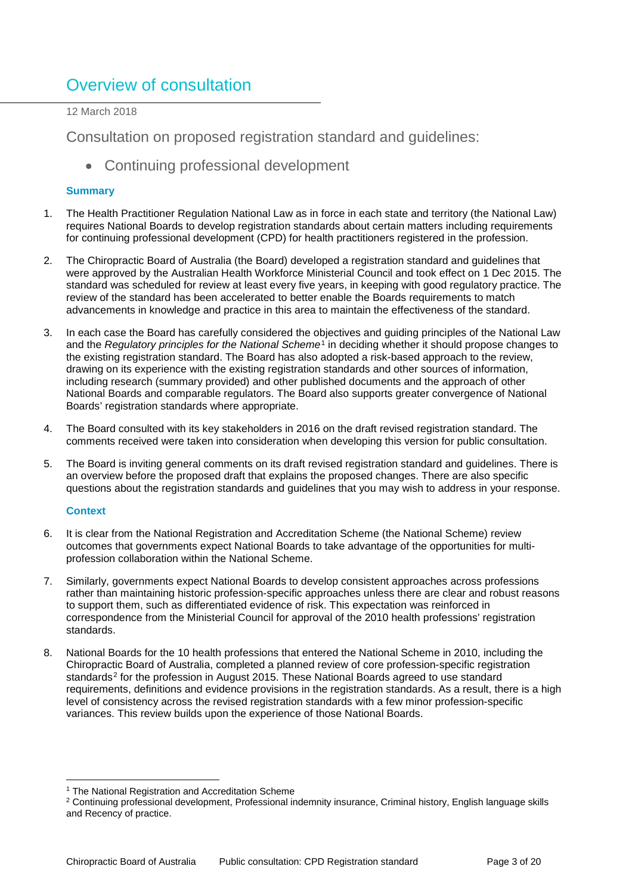# Overview of consultation

12 March 2018

Consultation on proposed registration standard and guidelines:

• Continuing professional development

# **Summary**

- 1. The Health Practitioner Regulation National Law as in force in each state and territory (the National Law) requires National Boards to develop registration standards about certain matters including requirements for continuing professional development (CPD) for health practitioners registered in the profession.
- 2. The Chiropractic Board of Australia (the Board) developed a registration standard and guidelines that were approved by the Australian Health Workforce Ministerial Council and took effect on 1 Dec 2015. The standard was scheduled for review at least every five years, in keeping with good regulatory practice. The review of the standard has been accelerated to better enable the Boards requirements to match advancements in knowledge and practice in this area to maintain the effectiveness of the standard.
- 3. In each case the Board has carefully considered the objectives and guiding principles of the National Law and the *Regulatory principles for the National Scheme*[1](#page-2-0) in deciding whether it should propose changes to the existing registration standard. The Board has also adopted a risk-based approach to the review, drawing on its experience with the existing registration standards and other sources of information, including research (summary provided) and other published documents and the approach of other National Boards and comparable regulators. The Board also supports greater convergence of National Boards' registration standards where appropriate.
- 4. The Board consulted with its key stakeholders in 2016 on the draft revised registration standard. The comments received were taken into consideration when developing this version for public consultation.
- 5. The Board is inviting general comments on its draft revised registration standard and guidelines. There is an overview before the proposed draft that explains the proposed changes. There are also specific questions about the registration standards and guidelines that you may wish to address in your response.

# **Context**

- 6. It is clear from the National Registration and Accreditation Scheme (the National Scheme) review outcomes that governments expect National Boards to take advantage of the opportunities for multiprofession collaboration within the National Scheme.
- 7. Similarly, governments expect National Boards to develop consistent approaches across professions rather than maintaining historic profession-specific approaches unless there are clear and robust reasons to support them, such as differentiated evidence of risk. This expectation was reinforced in correspondence from the Ministerial Council for approval of the 2010 health professions' registration standards.
- 8. National Boards for the 10 health professions that entered the National Scheme in 2010, including the Chiropractic Board of Australia, completed a planned review of core profession-specific registration standards<sup>[2](#page-2-1)</sup> for the profession in August 2015. These National Boards agreed to use standard requirements, definitions and evidence provisions in the registration standards. As a result, there is a high level of consistency across the revised registration standards with a few minor profession-specific variances. This review builds upon the experience of those National Boards.

<sup>&</sup>lt;sup>1</sup> The National Registration and Accreditation Scheme

<span id="page-2-1"></span><span id="page-2-0"></span><sup>&</sup>lt;sup>2</sup> Continuing professional development, Professional indemnity insurance, Criminal history, English language skills and Recency of practice.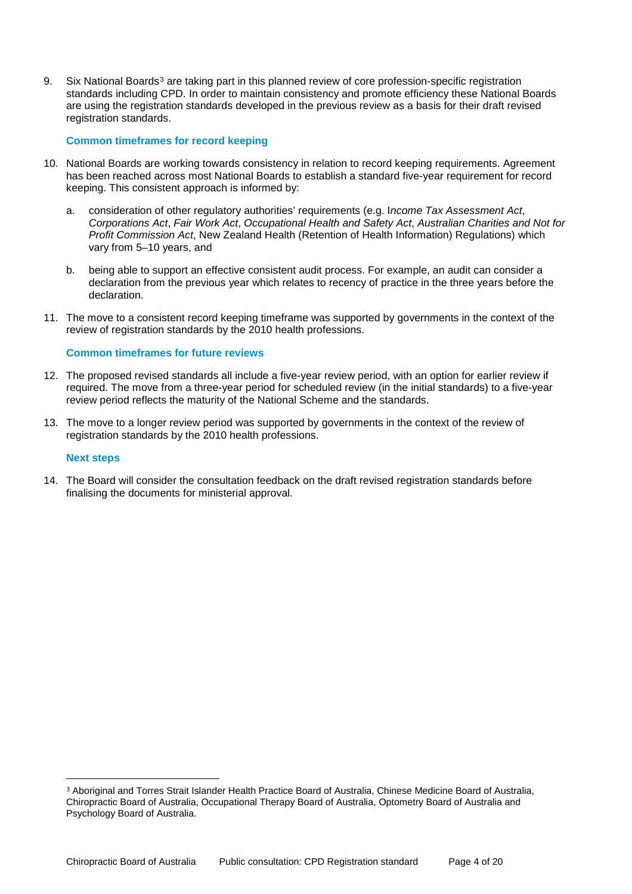9. Six National Boards<sup>[3](#page-3-0)</sup> are taking part in this planned review of core profession-specific registration standards including CPD. In order to maintain consistency and promote efficiency these National Boards are using the registration standards developed in the previous review as a basis for their draft revised registration standards.

### **Common timeframes for record keeping**

- 10. National Boards are working towards consistency in relation to record keeping requirements. Agreement has been reached across most National Boards to establish a standard five-year requirement for record keeping. This consistent approach is informed by:
	- a. consideration of other regulatory authorities' requirements (e.g. I*ncome Tax Assessment Act*, *Corporations Act*, *Fair Work Act*, *Occupational Health and Safety Act*, *Australian Charities and Not for Profit Commission Act*, New Zealand Health (Retention of Health Information) Regulations) which vary from 5–10 years, and
	- b. being able to support an effective consistent audit process. For example, an audit can consider a declaration from the previous year which relates to recency of practice in the three years before the declaration.
- 11. The move to a consistent record keeping timeframe was supported by governments in the context of the review of registration standards by the 2010 health professions.

### **Common timeframes for future reviews**

- 12. The proposed revised standards all include a five-year review period, with an option for earlier review if required. The move from a three-year period for scheduled review (in the initial standards) to a five-year review period reflects the maturity of the National Scheme and the standards.
- 13. The move to a longer review period was supported by governments in the context of the review of registration standards by the 2010 health professions.

### **Next steps**

14. The Board will consider the consultation feedback on the draft revised registration standards before finalising the documents for ministerial approval.

<span id="page-3-0"></span> <sup>3</sup> Aboriginal and Torres Strait Islander Health Practice Board of Australia, Chinese Medicine Board of Australia, Chiropractic Board of Australia, Occupational Therapy Board of Australia, Optometry Board of Australia and Psychology Board of Australia.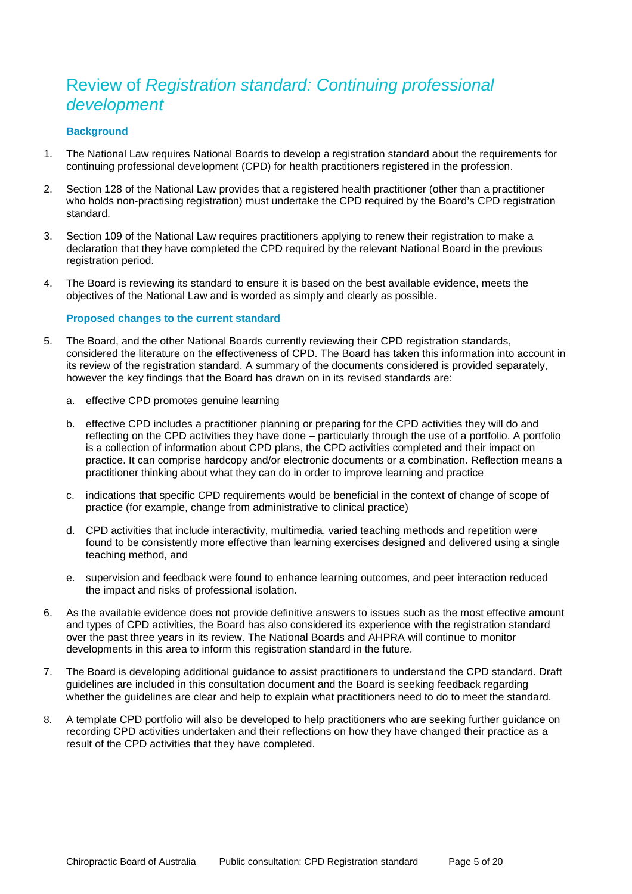# Review of *Registration standard: Continuing professional development*

# **Background**

- 1. The National Law requires National Boards to develop a registration standard about the requirements for continuing professional development (CPD) for health practitioners registered in the profession.
- 2. Section 128 of the National Law provides that a registered health practitioner (other than a practitioner who holds non-practising registration) must undertake the CPD required by the Board's CPD registration standard.
- 3. Section 109 of the National Law requires practitioners applying to renew their registration to make a declaration that they have completed the CPD required by the relevant National Board in the previous registration period.
- 4. The Board is reviewing its standard to ensure it is based on the best available evidence, meets the objectives of the National Law and is worded as simply and clearly as possible.

# **Proposed changes to the current standard**

- 5. The Board, and the other National Boards currently reviewing their CPD registration standards, considered the literature on the effectiveness of CPD. The Board has taken this information into account in its review of the registration standard. A summary of the documents considered is provided separately, however the key findings that the Board has drawn on in its revised standards are:
	- a. effective CPD promotes genuine learning
	- b. effective CPD includes a practitioner planning or preparing for the CPD activities they will do and reflecting on the CPD activities they have done – particularly through the use of a portfolio. A portfolio is a collection of information about CPD plans, the CPD activities completed and their impact on practice. It can comprise hardcopy and/or electronic documents or a combination. Reflection means a practitioner thinking about what they can do in order to improve learning and practice
	- c. indications that specific CPD requirements would be beneficial in the context of change of scope of practice (for example, change from administrative to clinical practice)
	- d. CPD activities that include interactivity, multimedia, varied teaching methods and repetition were found to be consistently more effective than learning exercises designed and delivered using a single teaching method, and
	- e. supervision and feedback were found to enhance learning outcomes, and peer interaction reduced the impact and risks of professional isolation.
- 6. As the available evidence does not provide definitive answers to issues such as the most effective amount and types of CPD activities, the Board has also considered its experience with the registration standard over the past three years in its review. The National Boards and AHPRA will continue to monitor developments in this area to inform this registration standard in the future.
- 7. The Board is developing additional guidance to assist practitioners to understand the CPD standard. Draft guidelines are included in this consultation document and the Board is seeking feedback regarding whether the guidelines are clear and help to explain what practitioners need to do to meet the standard.
- 8. A template CPD portfolio will also be developed to help practitioners who are seeking further guidance on recording CPD activities undertaken and their reflections on how they have changed their practice as a result of the CPD activities that they have completed.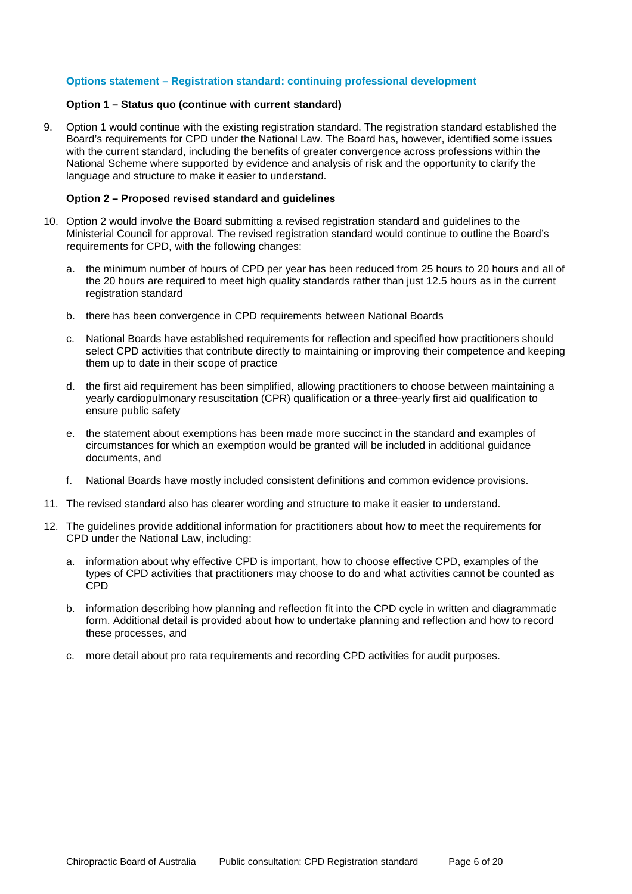# **Options statement – Registration standard: continuing professional development**

### **Option 1 – Status quo (continue with current standard)**

9. Option 1 would continue with the existing registration standard. The registration standard established the Board's requirements for CPD under the National Law. The Board has, however, identified some issues with the current standard, including the benefits of greater convergence across professions within the National Scheme where supported by evidence and analysis of risk and the opportunity to clarify the language and structure to make it easier to understand.

### **Option 2 – Proposed revised standard and guidelines**

- 10. Option 2 would involve the Board submitting a revised registration standard and guidelines to the Ministerial Council for approval. The revised registration standard would continue to outline the Board's requirements for CPD, with the following changes:
	- a. the minimum number of hours of CPD per year has been reduced from 25 hours to 20 hours and all of the 20 hours are required to meet high quality standards rather than just 12.5 hours as in the current registration standard
	- b. there has been convergence in CPD requirements between National Boards
	- c. National Boards have established requirements for reflection and specified how practitioners should select CPD activities that contribute directly to maintaining or improving their competence and keeping them up to date in their scope of practice
	- d. the first aid requirement has been simplified, allowing practitioners to choose between maintaining a yearly cardiopulmonary resuscitation (CPR) qualification or a three-yearly first aid qualification to ensure public safety
	- e. the statement about exemptions has been made more succinct in the standard and examples of circumstances for which an exemption would be granted will be included in additional guidance documents, and
	- f. National Boards have mostly included consistent definitions and common evidence provisions.
- 11. The revised standard also has clearer wording and structure to make it easier to understand.
- 12. The guidelines provide additional information for practitioners about how to meet the requirements for CPD under the National Law, including:
	- a. information about why effective CPD is important, how to choose effective CPD, examples of the types of CPD activities that practitioners may choose to do and what activities cannot be counted as CPD
	- b. information describing how planning and reflection fit into the CPD cycle in written and diagrammatic form. Additional detail is provided about how to undertake planning and reflection and how to record these processes, and
	- c. more detail about pro rata requirements and recording CPD activities for audit purposes.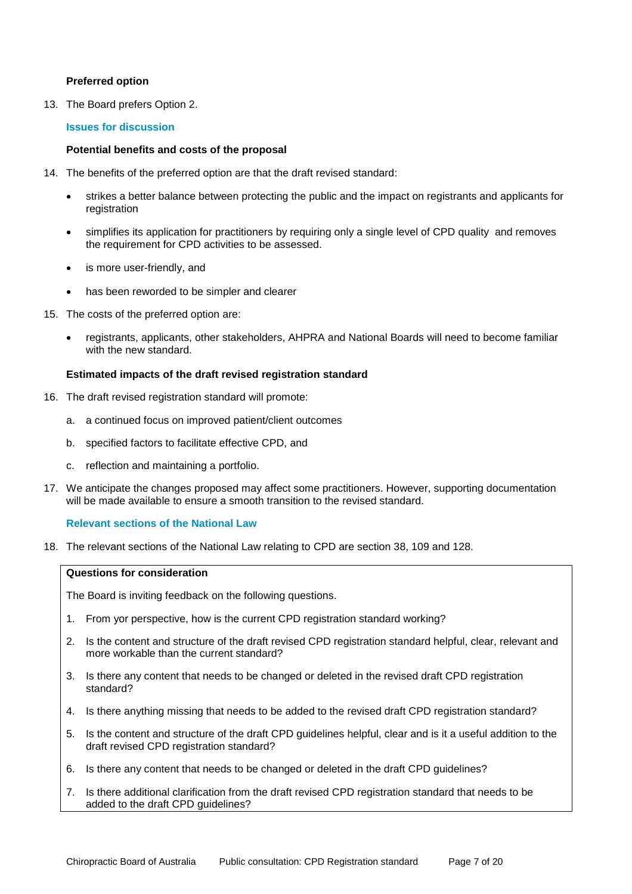# **Preferred option**

13. The Board prefers Option 2.

### **Issues for discussion**

### **Potential benefits and costs of the proposal**

- 14. The benefits of the preferred option are that the draft revised standard:
	- strikes a better balance between protecting the public and the impact on registrants and applicants for registration
	- simplifies its application for practitioners by requiring only a single level of CPD quality and removes the requirement for CPD activities to be assessed.
	- is more user-friendly, and
	- has been reworded to be simpler and clearer
- 15. The costs of the preferred option are:
	- registrants, applicants, other stakeholders, AHPRA and National Boards will need to become familiar with the new standard.

### **Estimated impacts of the draft revised registration standard**

- 16. The draft revised registration standard will promote:
	- a. a continued focus on improved patient/client outcomes
	- b. specified factors to facilitate effective CPD, and
	- c. reflection and maintaining a portfolio.
- 17. We anticipate the changes proposed may affect some practitioners. However, supporting documentation will be made available to ensure a smooth transition to the revised standard.

### **Relevant sections of the National Law**

18. The relevant sections of the National Law relating to CPD are section 38, 109 and 128.

### **Questions for consideration**

The Board is inviting feedback on the following questions.

- 1. From yor perspective, how is the current CPD registration standard working?
- 2. Is the content and structure of the draft revised CPD registration standard helpful, clear, relevant and more workable than the current standard?
- 3. Is there any content that needs to be changed or deleted in the revised draft CPD registration standard?
- 4. Is there anything missing that needs to be added to the revised draft CPD registration standard?
- 5. Is the content and structure of the draft CPD guidelines helpful, clear and is it a useful addition to the draft revised CPD registration standard?
- 6. Is there any content that needs to be changed or deleted in the draft CPD guidelines?
- 7. Is there additional clarification from the draft revised CPD registration standard that needs to be added to the draft CPD guidelines?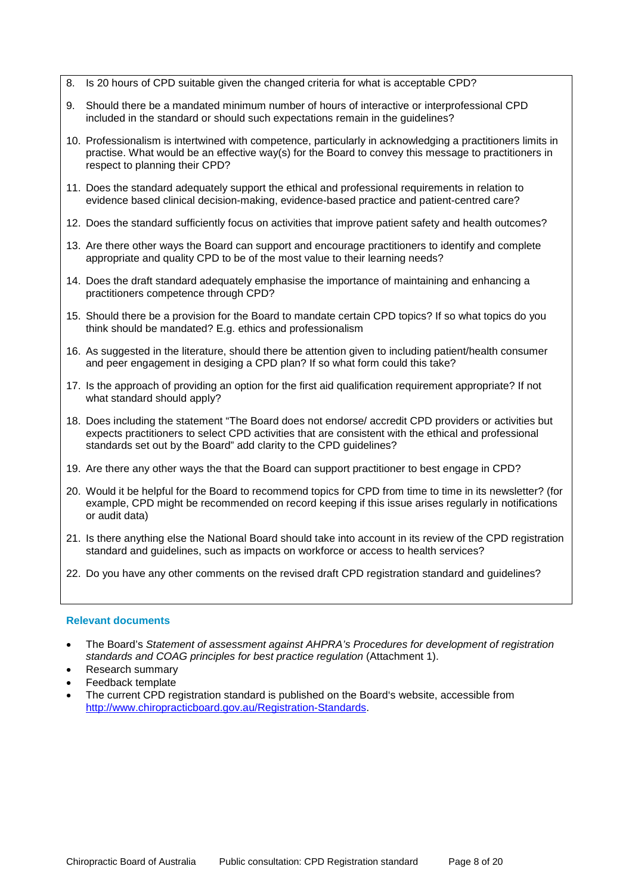- 8. Is 20 hours of CPD suitable given the changed criteria for what is acceptable CPD?
- 9. Should there be a mandated minimum number of hours of interactive or interprofessional CPD included in the standard or should such expectations remain in the guidelines?
- 10. Professionalism is intertwined with competence, particularly in acknowledging a practitioners limits in practise. What would be an effective way(s) for the Board to convey this message to practitioners in respect to planning their CPD?
- 11. Does the standard adequately support the ethical and professional requirements in relation to evidence based clinical decision-making, evidence-based practice and patient-centred care?
- 12. Does the standard sufficiently focus on activities that improve patient safety and health outcomes?
- 13. Are there other ways the Board can support and encourage practitioners to identify and complete appropriate and quality CPD to be of the most value to their learning needs?
- 14. Does the draft standard adequately emphasise the importance of maintaining and enhancing a practitioners competence through CPD?
- 15. Should there be a provision for the Board to mandate certain CPD topics? If so what topics do you think should be mandated? E.g. ethics and professionalism
- 16. As suggested in the literature, should there be attention given to including patient/health consumer and peer engagement in desiging a CPD plan? If so what form could this take?
- 17. Is the approach of providing an option for the first aid qualification requirement appropriate? If not what standard should apply?
- 18. Does including the statement "The Board does not endorse/ accredit CPD providers or activities but expects practitioners to select CPD activities that are consistent with the ethical and professional standards set out by the Board" add clarity to the CPD guidelines?
- 19. Are there any other ways the that the Board can support practitioner to best engage in CPD?
- 20. Would it be helpful for the Board to recommend topics for CPD from time to time in its newsletter? (for example, CPD might be recommended on record keeping if this issue arises regularly in notifications or audit data)
- 21. Is there anything else the National Board should take into account in its review of the CPD registration standard and guidelines, such as impacts on workforce or access to health services?
- 22. Do you have any other comments on the revised draft CPD registration standard and guidelines?

# **Relevant documents**

- The Board's *Statement of assessment against AHPRA's Procedures for development of registration standards and COAG principles for best practice regulation* (Attachment 1).
- Research summary
- Feedback template
- The current CPD registration standard is published on the Board's website, accessible from [http://www.chiropracticboard.gov.au/Registration-Standards.](http://www.chiropracticboard.gov.au/Registration-Standards)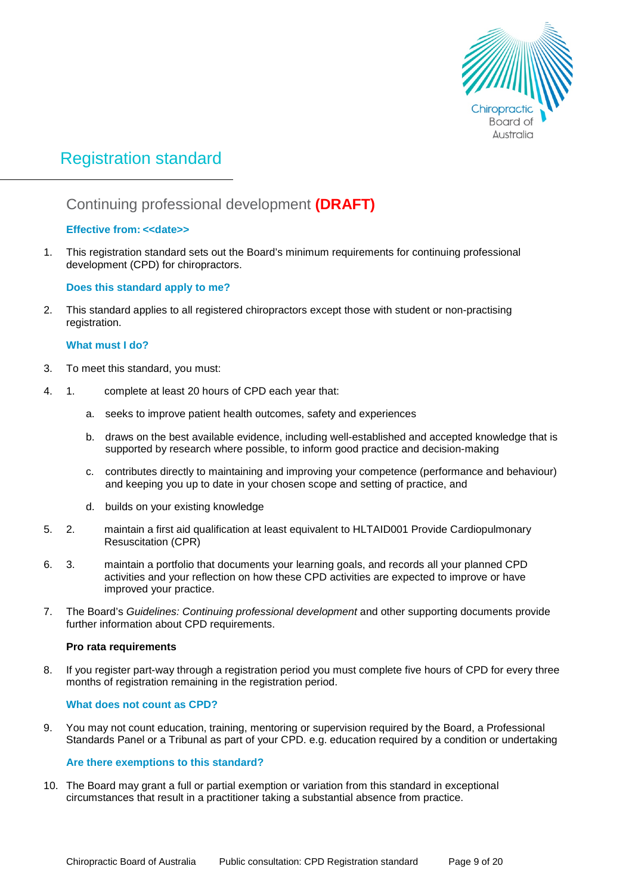

# Registration standard

# Continuing professional development **(DRAFT)**

# **Effective from: <<date>>**

1. This registration standard sets out the Board's minimum requirements for continuing professional development (CPD) for chiropractors.

# **Does this standard apply to me?**

2. This standard applies to all registered chiropractors except those with student or non-practising registration.

# **What must I do?**

- 3. To meet this standard, you must:
- 4. 1. complete at least 20 hours of CPD each year that:
	- a. seeks to improve patient health outcomes, safety and experiences
	- b. draws on the best available evidence, including well-established and accepted knowledge that is supported by research where possible, to inform good practice and decision-making
	- c. contributes directly to maintaining and improving your competence (performance and behaviour) and keeping you up to date in your chosen scope and setting of practice, and
	- d. builds on your existing knowledge
- 5. 2. maintain a first aid qualification at least equivalent to HLTAID001 Provide Cardiopulmonary Resuscitation (CPR)
- 6. 3. maintain a portfolio that documents your learning goals, and records all your planned CPD activities and your reflection on how these CPD activities are expected to improve or have improved your practice.
- 7. The Board's *Guidelines: Continuing professional development* and other supporting documents provide further information about CPD requirements.

# **Pro rata requirements**

8. If you register part-way through a registration period you must complete five hours of CPD for every three months of registration remaining in the registration period.

# **What does not count as CPD?**

9. You may not count education, training, mentoring or supervision required by the Board, a Professional Standards Panel or a Tribunal as part of your CPD. e.g. education required by a condition or undertaking

# **Are there exemptions to this standard?**

10. The Board may grant a full or partial exemption or variation from this standard in exceptional circumstances that result in a practitioner taking a substantial absence from practice.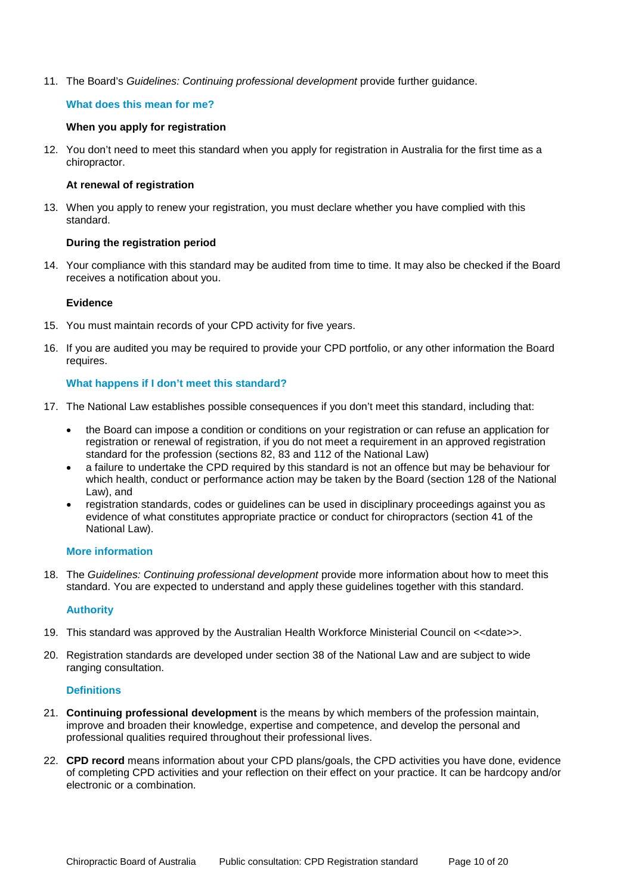11. The Board's *Guidelines: Continuing professional development* provide further guidance.

# **What does this mean for me?**

### **When you apply for registration**

12. You don't need to meet this standard when you apply for registration in Australia for the first time as a chiropractor.

### **At renewal of registration**

13. When you apply to renew your registration, you must declare whether you have complied with this standard.

### **During the registration period**

14. Your compliance with this standard may be audited from time to time. It may also be checked if the Board receives a notification about you.

### **Evidence**

- 15. You must maintain records of your CPD activity for five years.
- 16. If you are audited you may be required to provide your CPD portfolio, or any other information the Board requires.

# **What happens if I don't meet this standard?**

- 17. The National Law establishes possible consequences if you don't meet this standard, including that:
	- the Board can impose a condition or conditions on your registration or can refuse an application for registration or renewal of registration, if you do not meet a requirement in an approved registration standard for the profession (sections 82, 83 and 112 of the National Law)
	- a failure to undertake the CPD required by this standard is not an offence but may be behaviour for which health, conduct or performance action may be taken by the Board (section 128 of the National Law), and
	- registration standards, codes or guidelines can be used in disciplinary proceedings against you as evidence of what constitutes appropriate practice or conduct for chiropractors (section 41 of the National Law).

# **More information**

18. The *Guidelines: Continuing professional development* provide more information about how to meet this standard. You are expected to understand and apply these guidelines together with this standard.

# **Authority**

- 19. This standard was approved by the Australian Health Workforce Ministerial Council on <<date>>.
- 20. Registration standards are developed under section 38 of the National Law and are subject to wide ranging consultation.

### **Definitions**

- 21. **Continuing professional development** is the means by which members of the profession maintain, improve and broaden their knowledge, expertise and competence, and develop the personal and professional qualities required throughout their professional lives.
- 22. **CPD record** means information about your CPD plans/goals, the CPD activities you have done, evidence of completing CPD activities and your reflection on their effect on your practice. It can be hardcopy and/or electronic or a combination.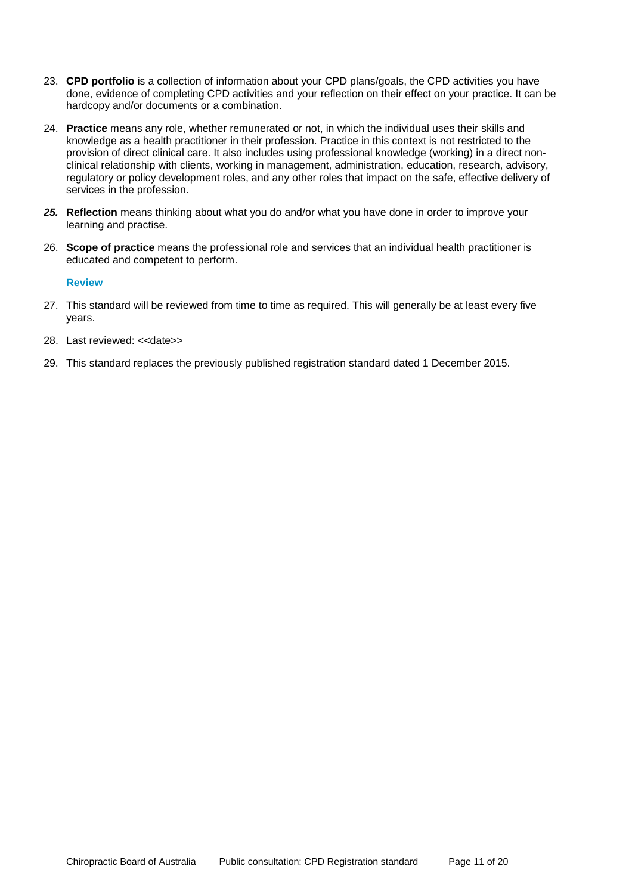- 23. **CPD portfolio** is a collection of information about your CPD plans/goals, the CPD activities you have done, evidence of completing CPD activities and your reflection on their effect on your practice. It can be hardcopy and/or documents or a combination.
- 24. **Practice** means any role, whether remunerated or not, in which the individual uses their skills and knowledge as a health practitioner in their profession. Practice in this context is not restricted to the provision of direct clinical care. It also includes using professional knowledge (working) in a direct nonclinical relationship with clients, working in management, administration, education, research, advisory, regulatory or policy development roles, and any other roles that impact on the safe, effective delivery of services in the profession.
- *25.* **Reflection** means thinking about what you do and/or what you have done in order to improve your learning and practise.
- 26. **Scope of practice** means the professional role and services that an individual health practitioner is educated and competent to perform.

### **Review**

- 27. This standard will be reviewed from time to time as required. This will generally be at least every five years.
- 28. Last reviewed: <<date>>
- 29. This standard replaces the previously published registration standard dated 1 December 2015.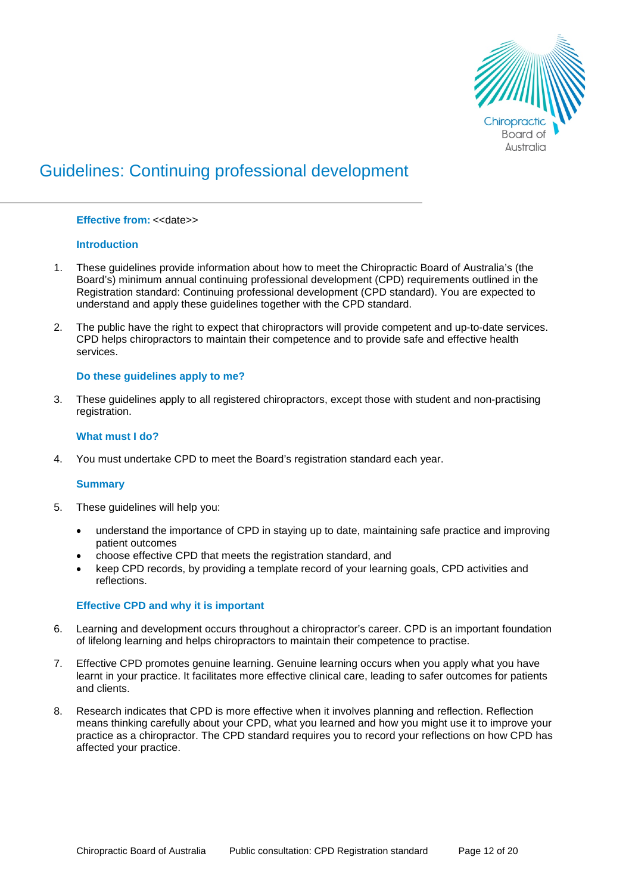

# Guidelines: Continuing professional development

### **Effective from: <<date>>**

# **Introduction**

- 1. These guidelines provide information about how to meet the Chiropractic Board of Australia's (the Board's) minimum annual continuing professional development (CPD) requirements outlined in the Registration standard: Continuing professional development (CPD standard). You are expected to understand and apply these guidelines together with the CPD standard.
- 2. The public have the right to expect that chiropractors will provide competent and up-to-date services. CPD helps chiropractors to maintain their competence and to provide safe and effective health services.

# **Do these guidelines apply to me?**

3. These guidelines apply to all registered chiropractors, except those with student and non-practising registration.

# **What must I do?**

4. You must undertake CPD to meet the Board's registration standard each year.

### **Summary**

- 5. These guidelines will help you:
	- understand the importance of CPD in staying up to date, maintaining safe practice and improving patient outcomes
	- choose effective CPD that meets the registration standard, and
	- keep CPD records, by providing a template record of your learning goals, CPD activities and reflections.

### **Effective CPD and why it is important**

- 6. Learning and development occurs throughout a chiropractor's career. CPD is an important foundation of lifelong learning and helps chiropractors to maintain their competence to practise.
- 7. Effective CPD promotes genuine learning. Genuine learning occurs when you apply what you have learnt in your practice. It facilitates more effective clinical care, leading to safer outcomes for patients and clients.
- 8. Research indicates that CPD is more effective when it involves planning and reflection. Reflection means thinking carefully about your CPD, what you learned and how you might use it to improve your practice as a chiropractor. The CPD standard requires you to record your reflections on how CPD has affected your practice.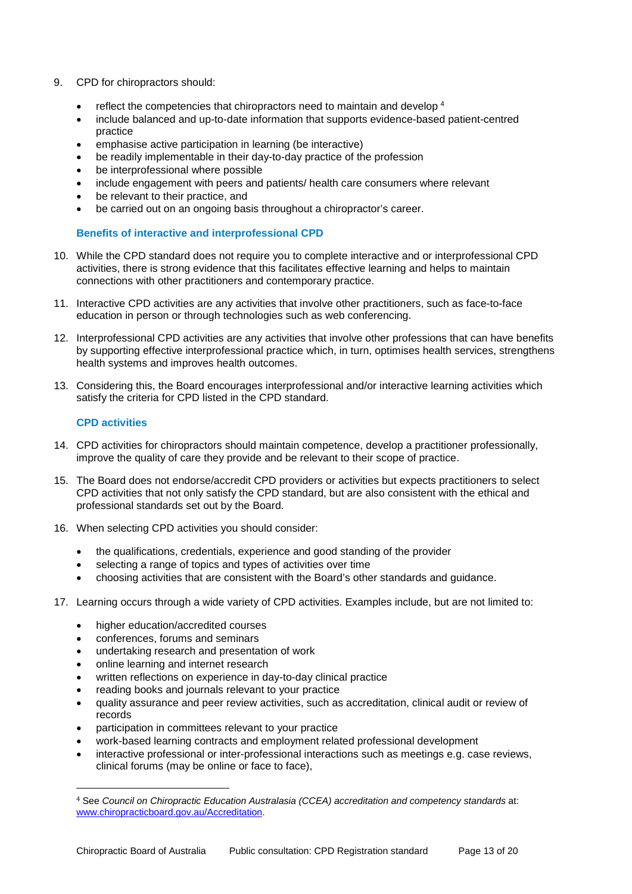- 9. CPD for chiropractors should:
	- reflect the competencies that chiropractors need to maintain and develop [4](#page-12-0)
	- include balanced and up-to-date information that supports evidence-based patient-centred practice
	- emphasise active participation in learning (be interactive)
	- be readily implementable in their day-to-day practice of the profession
	- be interprofessional where possible
	- include engagement with peers and patients/ health care consumers where relevant
	- be relevant to their practice, and
	- be carried out on an ongoing basis throughout a chiropractor's career.

# **Benefits of interactive and interprofessional CPD**

- 10. While the CPD standard does not require you to complete interactive and or interprofessional CPD activities, there is strong evidence that this facilitates effective learning and helps to maintain connections with other practitioners and contemporary practice.
- 11. Interactive CPD activities are any activities that involve other practitioners, such as face-to-face education in person or through technologies such as web conferencing.
- 12. Interprofessional CPD activities are any activities that involve other professions that can have benefits by supporting effective interprofessional practice which, in turn, optimises health services, strengthens health systems and improves health outcomes.
- 13. Considering this, the Board encourages interprofessional and/or interactive learning activities which satisfy the criteria for CPD listed in the CPD standard.

# **CPD activities**

- 14. CPD activities for chiropractors should maintain competence, develop a practitioner professionally, improve the quality of care they provide and be relevant to their scope of practice.
- 15. The Board does not endorse/accredit CPD providers or activities but expects practitioners to select CPD activities that not only satisfy the CPD standard, but are also consistent with the ethical and professional standards set out by the Board.
- 16. When selecting CPD activities you should consider:
	- the qualifications, credentials, experience and good standing of the provider
	- selecting a range of topics and types of activities over time
	- choosing activities that are consistent with the Board's other standards and guidance.
- 17. Learning occurs through a wide variety of CPD activities. Examples include, but are not limited to:
	- higher education/accredited courses
	- conferences, forums and seminars
	- undertaking research and presentation of work
	- online learning and internet research
	- written reflections on experience in day-to-day clinical practice
	- reading books and journals relevant to your practice
	- quality assurance and peer review activities, such as accreditation, clinical audit or review of records
	- participation in committees relevant to your practice
	- work-based learning contracts and employment related professional development
	- interactive professional or inter-professional interactions such as meetings e.g. case reviews, clinical forums (may be online or face to face),

<span id="page-12-0"></span> <sup>4</sup> See *Council on Chiropractic Education Australasia (CCEA) accreditation and competency standards* at: [www.chiropracticboard.gov.au/Accreditation.](http://www.chiropracticboard.gov.au/Accreditation)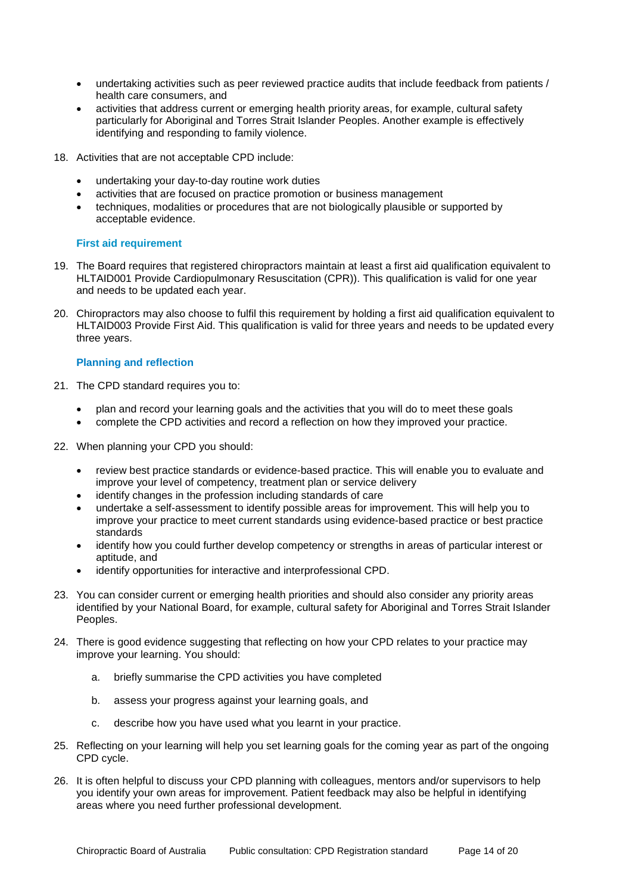- undertaking activities such as peer reviewed practice audits that include feedback from patients / health care consumers, and
- activities that address current or emerging health priority areas, for example, cultural safety particularly for Aboriginal and Torres Strait Islander Peoples. Another example is effectively identifying and responding to family violence.
- 18. Activities that are not acceptable CPD include:
	- undertaking your day-to-day routine work duties
	- activities that are focused on practice promotion or business management
	- techniques, modalities or procedures that are not biologically plausible or supported by acceptable evidence.

# **First aid requirement**

- 19. The Board requires that registered chiropractors maintain at least a first aid qualification equivalent to HLTAID001 Provide Cardiopulmonary Resuscitation (CPR)). This qualification is valid for one year and needs to be updated each year.
- 20. Chiropractors may also choose to fulfil this requirement by holding a first aid qualification equivalent to HLTAID003 Provide First Aid. This qualification is valid for three years and needs to be updated every three years.

# **Planning and reflection**

- 21. The CPD standard requires you to:
	- plan and record your learning goals and the activities that you will do to meet these goals
	- complete the CPD activities and record a reflection on how they improved your practice.
- 22. When planning your CPD you should:
	- review best practice standards or evidence-based practice. This will enable you to evaluate and improve your level of competency, treatment plan or service delivery
	- identify changes in the profession including standards of care
	- undertake a self-assessment to identify possible areas for improvement. This will help you to improve your practice to meet current standards using evidence-based practice or best practice standards
	- identify how you could further develop competency or strengths in areas of particular interest or aptitude, and
	- identify opportunities for interactive and interprofessional CPD.
- 23. You can consider current or emerging health priorities and should also consider any priority areas identified by your National Board, for example, cultural safety for Aboriginal and Torres Strait Islander Peoples.
- 24. There is good evidence suggesting that reflecting on how your CPD relates to your practice may improve your learning. You should:
	- a. briefly summarise the CPD activities you have completed
	- b. assess your progress against your learning goals, and
	- c. describe how you have used what you learnt in your practice.
- 25. Reflecting on your learning will help you set learning goals for the coming year as part of the ongoing CPD cycle.
- 26. It is often helpful to discuss your CPD planning with colleagues, mentors and/or supervisors to help you identify your own areas for improvement. Patient feedback may also be helpful in identifying areas where you need further professional development.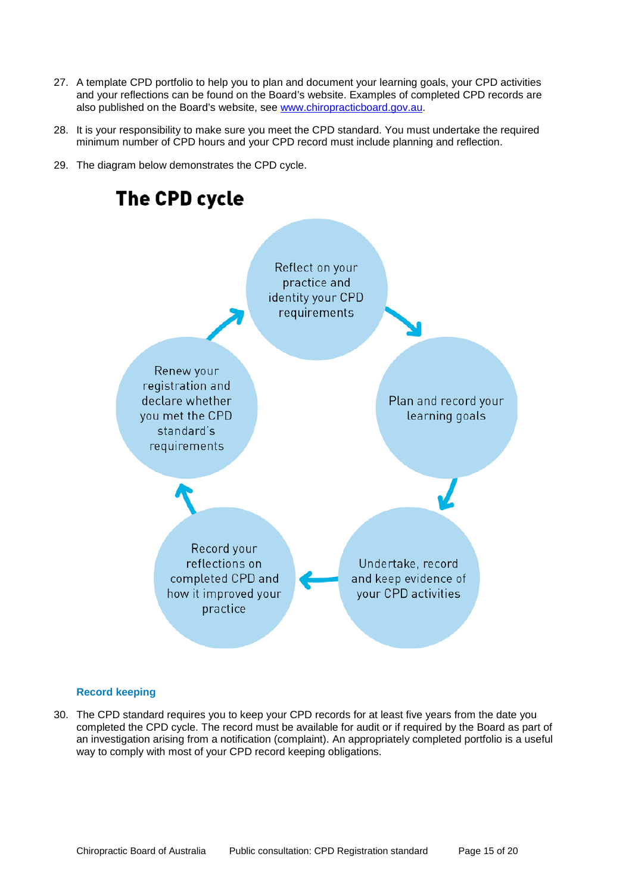- 27. A template CPD portfolio to help you to plan and document your learning goals, your CPD activities and your reflections can be found on the Board's website. Examples of completed CPD records are also published on the Board's website, see [www.chiropracticboard.gov.au.](http://www.chiropracticboard.gov.au/)
- 28. It is your responsibility to make sure you meet the CPD standard. You must undertake the required minimum number of CPD hours and your CPD record must include planning and reflection.
- 29. The diagram below demonstrates the CPD cycle.



# **Record keeping**

30. The CPD standard requires you to keep your CPD records for at least five years from the date you completed the CPD cycle. The record must be available for audit or if required by the Board as part of an investigation arising from a notification (complaint). An appropriately completed portfolio is a useful way to comply with most of your CPD record keeping obligations.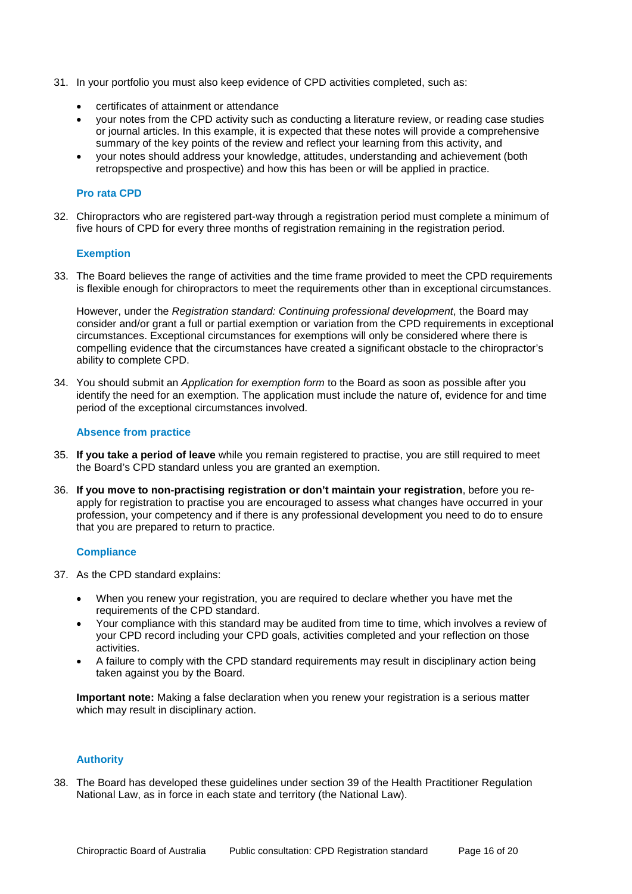- 31. In your portfolio you must also keep evidence of CPD activities completed, such as:
	- certificates of attainment or attendance
	- your notes from the CPD activity such as conducting a literature review, or reading case studies or journal articles. In this example, it is expected that these notes will provide a comprehensive summary of the key points of the review and reflect your learning from this activity, and
	- your notes should address your knowledge, attitudes, understanding and achievement (both retropspective and prospective) and how this has been or will be applied in practice.

# **Pro rata CPD**

32. Chiropractors who are registered part-way through a registration period must complete a minimum of five hours of CPD for every three months of registration remaining in the registration period.

# **Exemption**

33. The Board believes the range of activities and the time frame provided to meet the CPD requirements is flexible enough for chiropractors to meet the requirements other than in exceptional circumstances.

However, under the *Registration standard: Continuing professional development*, the Board may consider and/or grant a full or partial exemption or variation from the CPD requirements in exceptional circumstances. Exceptional circumstances for exemptions will only be considered where there is compelling evidence that the circumstances have created a significant obstacle to the chiropractor's ability to complete CPD.

34. You should submit an *Application for exemption form* to the Board as soon as possible after you identify the need for an exemption. The application must include the nature of, evidence for and time period of the exceptional circumstances involved.

### **Absence from practice**

- 35. **If you take a period of leave** while you remain registered to practise, you are still required to meet the Board's CPD standard unless you are granted an exemption.
- 36. **If you move to non-practising registration or don't maintain your registration**, before you reapply for registration to practise you are encouraged to assess what changes have occurred in your profession, your competency and if there is any professional development you need to do to ensure that you are prepared to return to practice.

### **Compliance**

- 37. As the CPD standard explains:
	- When you renew your registration, you are required to declare whether you have met the requirements of the CPD standard.
	- Your compliance with this standard may be audited from time to time, which involves a review of your CPD record including your CPD goals, activities completed and your reflection on those activities.
	- A failure to comply with the CPD standard requirements may result in disciplinary action being taken against you by the Board.

**Important note:** Making a false declaration when you renew your registration is a serious matter which may result in disciplinary action.

# **Authority**

38. The Board has developed these guidelines under section 39 of the Health Practitioner Regulation National Law, as in force in each state and territory (the National Law).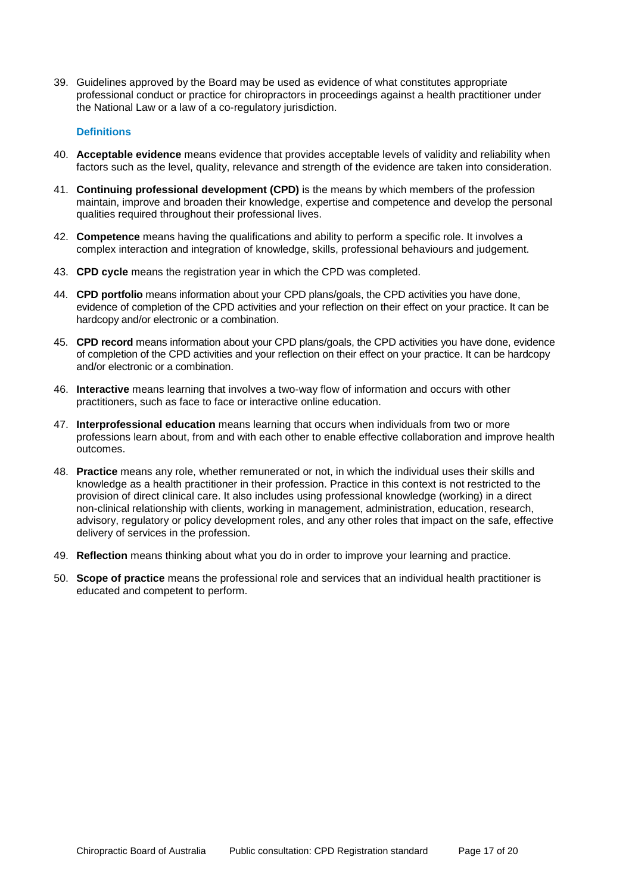39. Guidelines approved by the Board may be used as evidence of what constitutes appropriate professional conduct or practice for chiropractors in proceedings against a health practitioner under the National Law or a law of a co-regulatory jurisdiction.

# **Definitions**

- 40. **Acceptable evidence** means evidence that provides acceptable levels of validity and reliability when factors such as the level, quality, relevance and strength of the evidence are taken into consideration.
- 41. **Continuing professional development (CPD)** is the means by which members of the profession maintain, improve and broaden their knowledge, expertise and competence and develop the personal qualities required throughout their professional lives.
- 42. **Competence** means having the qualifications and ability to perform a specific role. It involves a complex interaction and integration of knowledge, skills, professional behaviours and judgement.
- 43. **CPD cycle** means the registration year in which the CPD was completed.
- 44. **CPD portfolio** means information about your CPD plans/goals, the CPD activities you have done, evidence of completion of the CPD activities and your reflection on their effect on your practice. It can be hardcopy and/or electronic or a combination.
- 45. **CPD record** means information about your CPD plans/goals, the CPD activities you have done, evidence of completion of the CPD activities and your reflection on their effect on your practice. It can be hardcopy and/or electronic or a combination.
- 46. **Interactive** means learning that involves a two-way flow of information and occurs with other practitioners, such as face to face or interactive online education.
- 47. **Interprofessional education** means learning that occurs when individuals from two or more professions learn about, from and with each other to enable effective collaboration and improve health outcomes.
- 48. **Practice** means any role, whether remunerated or not, in which the individual uses their skills and knowledge as a health practitioner in their profession. Practice in this context is not restricted to the provision of direct clinical care. It also includes using professional knowledge (working) in a direct non-clinical relationship with clients, working in management, administration, education, research, advisory, regulatory or policy development roles, and any other roles that impact on the safe, effective delivery of services in the profession.
- 49. **Reflection** means thinking about what you do in order to improve your learning and practice.
- 50. **Scope of practice** means the professional role and services that an individual health practitioner is educated and competent to perform.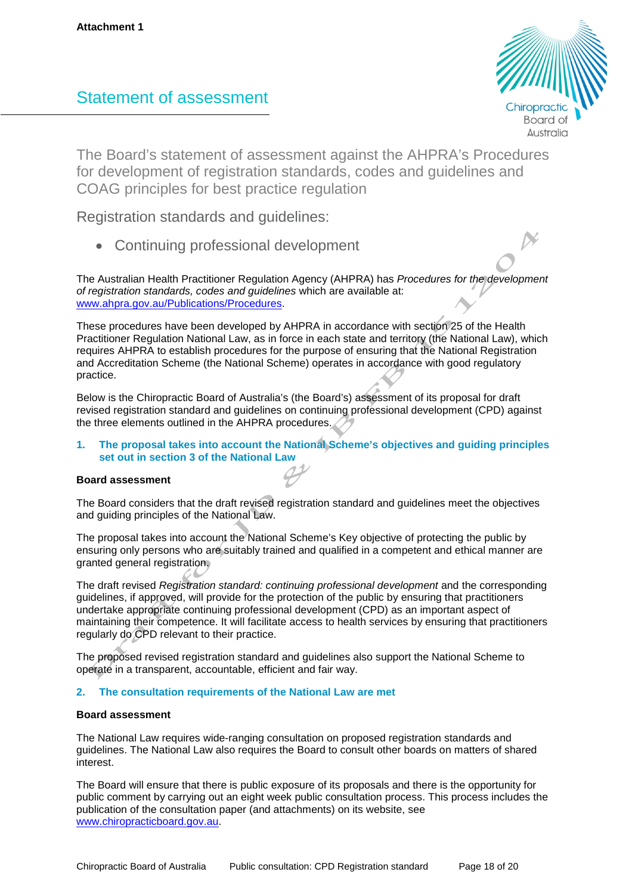# Statement of assessment



The Board's statement of assessment against the AHPRA's Procedures for development of registration standards, codes and guidelines and COAG principles for best practice regulation

Registration standards and guidelines:

• Continuing professional development

The Australian Health Practitioner Regulation Agency (AHPRA) has *Procedures for the development of registration standards, codes and guidelines* which are available at: www.ahpra.gov.au/Publications/Procedures.

These procedures have been developed by AHPRA in accordance with section 25 of the Health Practitioner Regulation National Law, as in force in each state and territory (the National Law), which requires AHPRA to establish procedures for the purpose of ensuring that the National Registration and Accreditation Scheme (the National Scheme) operates in accordance with good regulatory practice.

Below is the Chiropractic Board of Australia's (the Board's) assessment of its proposal for draft revised registration standard and guidelines on continuing professional development (CPD) against the three elements outlined in the AHPRA procedures.

# **1. The proposal takes into account the National Scheme's objectives and guiding principles set out in section 3 of the National Law**

# **Board assessment**

The Board considers that the draft revised registration standard and guidelines meet the objectives and guiding principles of the National Law.

The proposal takes into account the National Scheme's Key objective of protecting the public by ensuring only persons who are suitably trained and qualified in a competent and ethical manner are granted general registration.

The draft revised *Registration standard: continuing professional development* and the corresponding guidelines, if approved, will provide for the protection of the public by ensuring that practitioners undertake appropriate continuing professional development (CPD) as an important aspect of maintaining their competence. It will facilitate access to health services by ensuring that practitioners regularly do CPD relevant to their practice.

The proposed revised registration standard and guidelines also support the National Scheme to operate in a transparent, accountable, efficient and fair way.

# **2. The consultation requirements of the National Law are met**

### **Board assessment**

The National Law requires wide-ranging consultation on proposed registration standards and guidelines. The National Law also requires the Board to consult other boards on matters of shared interest.

The Board will ensure that there is public exposure of its proposals and there is the opportunity for public comment by carrying out an eight week public consultation process. This process includes the publication of the consultation paper (and attachments) on its website, see [www.chiropracticboard.gov.au.](http://www.chiropracticboard.gov.au/)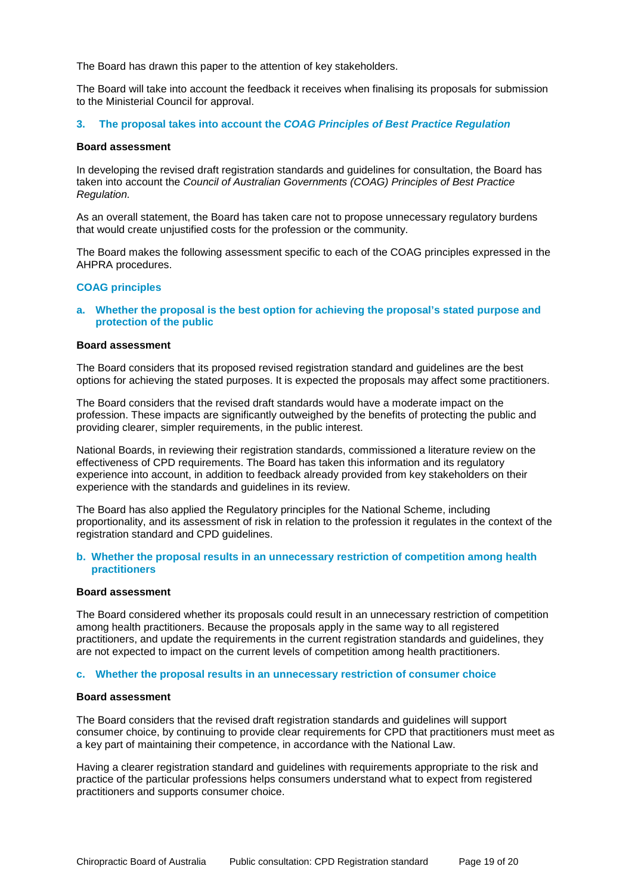The Board has drawn this paper to the attention of key stakeholders.

The Board will take into account the feedback it receives when finalising its proposals for submission to the Ministerial Council for approval.

### **3. The proposal takes into account the** *COAG Principles of Best Practice Regulation*

### **Board assessment**

In developing the revised draft registration standards and guidelines for consultation, the Board has taken into account the *Council of Australian Governments (COAG) Principles of Best Practice Regulation.* 

As an overall statement, the Board has taken care not to propose unnecessary regulatory burdens that would create unjustified costs for the profession or the community.

The Board makes the following assessment specific to each of the COAG principles expressed in the AHPRA procedures.

### **COAG principles**

**a. Whether the proposal is the best option for achieving the proposal's stated purpose and protection of the public** 

#### **Board assessment**

The Board considers that its proposed revised registration standard and guidelines are the best options for achieving the stated purposes. It is expected the proposals may affect some practitioners.

The Board considers that the revised draft standards would have a moderate impact on the profession. These impacts are significantly outweighed by the benefits of protecting the public and providing clearer, simpler requirements, in the public interest.

National Boards, in reviewing their registration standards, commissioned a literature review on the effectiveness of CPD requirements. The Board has taken this information and its regulatory experience into account, in addition to feedback already provided from key stakeholders on their experience with the standards and guidelines in its review.

The Board has also applied the Regulatory principles for the National Scheme, including proportionality, and its assessment of risk in relation to the profession it regulates in the context of the registration standard and CPD guidelines.

### **b. Whether the proposal results in an unnecessary restriction of competition among health practitioners**

#### **Board assessment**

The Board considered whether its proposals could result in an unnecessary restriction of competition among health practitioners. Because the proposals apply in the same way to all registered practitioners, and update the requirements in the current registration standards and guidelines, they are not expected to impact on the current levels of competition among health practitioners.

### **c. Whether the proposal results in an unnecessary restriction of consumer choice**

#### **Board assessment**

The Board considers that the revised draft registration standards and guidelines will support consumer choice, by continuing to provide clear requirements for CPD that practitioners must meet as a key part of maintaining their competence, in accordance with the National Law.

Having a clearer registration standard and guidelines with requirements appropriate to the risk and practice of the particular professions helps consumers understand what to expect from registered practitioners and supports consumer choice.